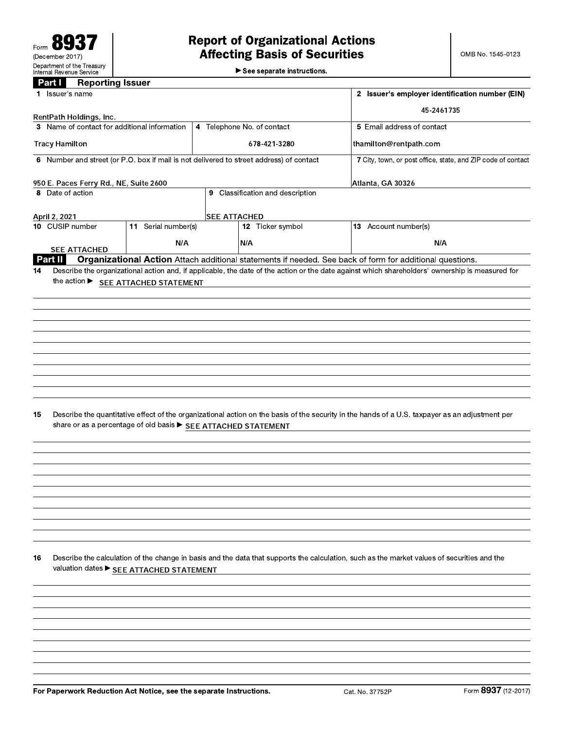See separate instructions.

# **Part I** Reporting Issuer

| 1 Issuer's name                        |                                                                    |                     |                                                                                         | 2 Issuer's employer identification number (EIN)                                                                                                 |                                                              |
|----------------------------------------|--------------------------------------------------------------------|---------------------|-----------------------------------------------------------------------------------------|-------------------------------------------------------------------------------------------------------------------------------------------------|--------------------------------------------------------------|
|                                        |                                                                    |                     |                                                                                         | 45-2461735                                                                                                                                      |                                                              |
| RentPath Holdings, Inc.                |                                                                    |                     |                                                                                         |                                                                                                                                                 |                                                              |
|                                        | 3 Name of contact for additional information                       |                     | 4 Telephone No. of contact                                                              | 5 Email address of contact                                                                                                                      |                                                              |
| <b>Tracy Hamilton</b>                  |                                                                    |                     | 678-421-3280                                                                            | thamilton@rentpath.com                                                                                                                          |                                                              |
|                                        |                                                                    |                     | 6 Number and street (or P.O. box if mail is not delivered to street address) of contact |                                                                                                                                                 | 7 City, town, or post office, state, and ZIP code of contact |
| 950 E. Paces Ferry Rd., NE, Suite 2600 |                                                                    |                     |                                                                                         | Atlanta, GA 30326                                                                                                                               |                                                              |
| 8 Date of action                       |                                                                    |                     | 9 Classification and description                                                        |                                                                                                                                                 |                                                              |
|                                        |                                                                    |                     |                                                                                         |                                                                                                                                                 |                                                              |
| April 2, 2021<br>10 CUSIP number       | 11 Serial number(s)                                                | <b>SEE ATTACHED</b> | 12 Ticker symbol                                                                        | 13 Account number(s)                                                                                                                            |                                                              |
|                                        | N/A                                                                |                     | N/A                                                                                     | N/A                                                                                                                                             |                                                              |
| <b>SEE ATTACHED</b>                    |                                                                    |                     |                                                                                         |                                                                                                                                                 |                                                              |
| Part II                                |                                                                    |                     |                                                                                         | Organizational Action Attach additional statements if needed. See back of form for additional questions.                                        |                                                              |
| 14                                     | the action ▶ SEE ATTACHED STATEMENT                                |                     |                                                                                         | Describe the organizational action and, if applicable, the date of the action or the date against which shareholders' ownership is measured for |                                                              |
|                                        |                                                                    |                     |                                                                                         |                                                                                                                                                 |                                                              |
|                                        |                                                                    |                     |                                                                                         |                                                                                                                                                 |                                                              |
|                                        |                                                                    |                     |                                                                                         |                                                                                                                                                 |                                                              |
|                                        |                                                                    |                     |                                                                                         |                                                                                                                                                 |                                                              |
|                                        |                                                                    |                     |                                                                                         |                                                                                                                                                 |                                                              |
|                                        |                                                                    |                     |                                                                                         |                                                                                                                                                 |                                                              |
|                                        |                                                                    |                     |                                                                                         |                                                                                                                                                 |                                                              |
|                                        |                                                                    |                     |                                                                                         |                                                                                                                                                 |                                                              |
|                                        |                                                                    |                     |                                                                                         |                                                                                                                                                 |                                                              |
| 15                                     | share or as a percentage of old basis > SEE ATTACHED STATEMENT     |                     |                                                                                         | Describe the quantitative effect of the organizational action on the basis of the security in the hands of a U.S. taxpayer as an adjustment per |                                                              |
|                                        |                                                                    |                     |                                                                                         |                                                                                                                                                 |                                                              |
|                                        |                                                                    |                     |                                                                                         |                                                                                                                                                 |                                                              |
|                                        |                                                                    |                     |                                                                                         |                                                                                                                                                 |                                                              |
|                                        |                                                                    |                     |                                                                                         |                                                                                                                                                 |                                                              |
|                                        |                                                                    |                     |                                                                                         |                                                                                                                                                 |                                                              |
|                                        |                                                                    |                     |                                                                                         |                                                                                                                                                 |                                                              |
|                                        |                                                                    |                     |                                                                                         |                                                                                                                                                 |                                                              |
|                                        |                                                                    |                     |                                                                                         |                                                                                                                                                 |                                                              |
| 16                                     | valuation dates SEE ATTACHED STATEMENT                             |                     |                                                                                         | Describe the calculation of the change in basis and the data that supports the calculation, such as the market values of securities and the     |                                                              |
|                                        |                                                                    |                     |                                                                                         |                                                                                                                                                 |                                                              |
|                                        |                                                                    |                     |                                                                                         |                                                                                                                                                 |                                                              |
|                                        |                                                                    |                     |                                                                                         |                                                                                                                                                 |                                                              |
|                                        |                                                                    |                     |                                                                                         |                                                                                                                                                 |                                                              |
|                                        |                                                                    |                     |                                                                                         |                                                                                                                                                 |                                                              |
|                                        |                                                                    |                     |                                                                                         |                                                                                                                                                 |                                                              |
|                                        |                                                                    |                     |                                                                                         |                                                                                                                                                 |                                                              |
|                                        |                                                                    |                     |                                                                                         |                                                                                                                                                 |                                                              |
|                                        | For Paperwork Reduction Act Notice, see the separate Instructions. |                     |                                                                                         | Cat. No. 37752P                                                                                                                                 | Form 8937 (12-2017)                                          |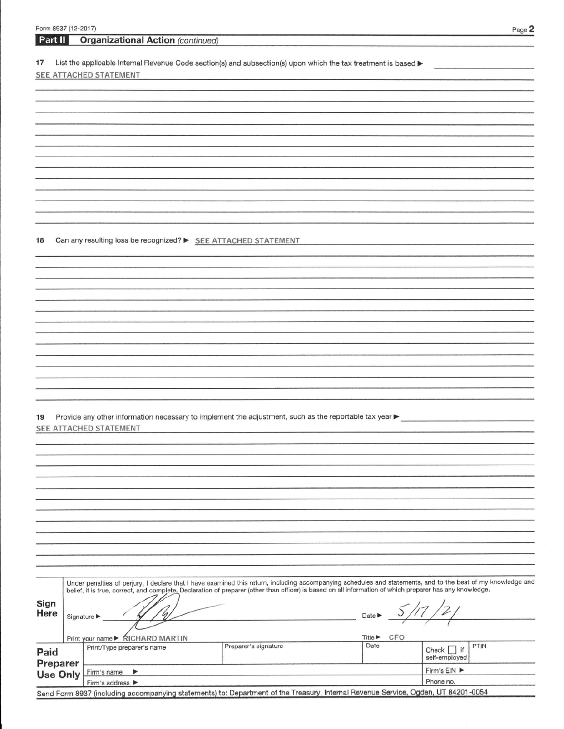List the applicable Internal Revenue Code section(s) and subsection(s) upon which the tax treatment is based  $17$ SEE ATTACHED STATEMENT

Can any resulting loss be recognized? > SEE ATTACHED STATEMENT 18

| 19 Provide any other information necessary to implement the adjustment, such as the reportable tax year $\blacktriangleright$ |
|-------------------------------------------------------------------------------------------------------------------------------|
| SEE ATTACHED STATEMENT                                                                                                        |

|                      | Under penalties of perjury, I declare that I have examined this return, including accompanying schedules and statements, and to the best of my knowledge and<br>belief, it is true, correct, and complete. Declaration of preparer (other than officer) is based on all information of which preparer has any knowledge. |                      |                                    |                                        |  |  |
|----------------------|--------------------------------------------------------------------------------------------------------------------------------------------------------------------------------------------------------------------------------------------------------------------------------------------------------------------------|----------------------|------------------------------------|----------------------------------------|--|--|
| Sign<br>Here         | Signature $\blacktriangleright$                                                                                                                                                                                                                                                                                          |                      | $Date \triangleright$              |                                        |  |  |
|                      | Print your name ▶ RICHARD MARTIN                                                                                                                                                                                                                                                                                         |                      | CFO<br>Title $\blacktriangleright$ |                                        |  |  |
| Paid                 | Print/Type preparer's name                                                                                                                                                                                                                                                                                               | Preparer's signature | Date                               | PTIN<br>if<br>Check  <br>self-employed |  |  |
| Preparer<br>Use Only | Firm's name $\blacktriangleright$                                                                                                                                                                                                                                                                                        |                      |                                    | Firm's $EIN$                           |  |  |
|                      | Firm's address $\blacktriangleright$                                                                                                                                                                                                                                                                                     |                      |                                    | Phone no.                              |  |  |
|                      | Send Form 8937 (including accompanying statements) to: Department of the Treasury, Internal Revenue Service, Ogden, UT 84201-0054                                                                                                                                                                                        |                      |                                    |                                        |  |  |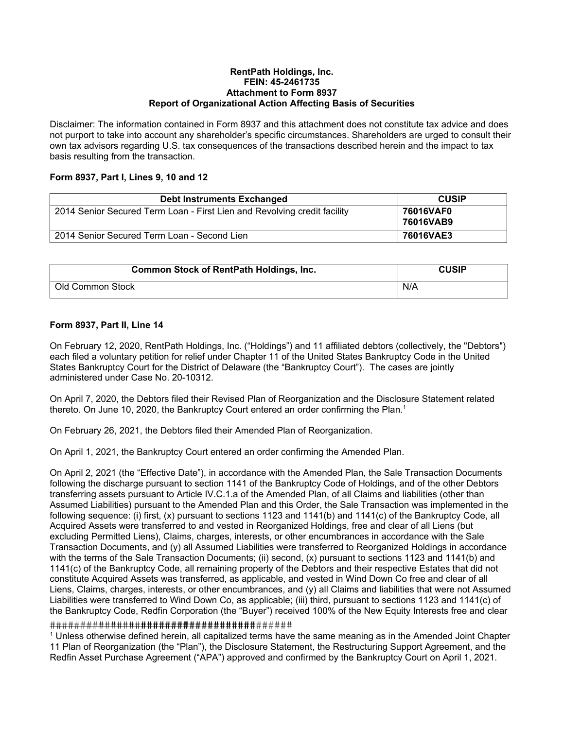#### **RentPath Holdings, Inc. FEIN: 45-2461735 Attachment to Form 8937 Report of Organizational Action Affecting Basis of Securities**

Disclaimer: The information contained in Form 8937 and this attachment does not constitute tax advice and does not purport to take into account any shareholder's specific circumstances. Shareholders are urged to consult their own tax advisors regarding U.S. tax consequences of the transactions described herein and the impact to tax basis resulting from the transaction.

## **Form 8937, Part I, Lines 9, 10 and 12**

| <b>Debt Instruments Exchanged</b>                                        | <b>CUSIP</b>           |
|--------------------------------------------------------------------------|------------------------|
| 2014 Senior Secured Term Loan - First Lien and Revolving credit facility | 76016VAF0<br>76016VAB9 |
| 2014 Senior Secured Term Loan - Second Lien                              | 76016VAE3              |

| <b>Common Stock of RentPath Holdings, Inc.</b> | <b>CUSIP</b> |
|------------------------------------------------|--------------|
| Old Common Stock                               | N/A          |

## **Form 8937, Part II, Line 14**

On February 12, 2020, RentPath Holdings, Inc. ("Holdings") and 11 affiliated debtors (collectively, the "Debtors") each filed a voluntary petition for relief under Chapter 11 of the United States Bankruptcy Code in the United States Bankruptcy Court for the District of Delaware (the "Bankruptcy Court"). The cases are jointly administered under Case No. 20-10312.

On April 7, 2020, the Debtors filed their Revised Plan of Reorganization and the Disclosure Statement related thereto. On June 10, 2020, the Bankruptcy Court entered an order confirming the Plan.<sup>1</sup>

On February 26, 2021, the Debtors filed their Amended Plan of Reorganization.

On April 1, 2021, the Bankruptcy Court entered an order confirming the Amended Plan.

On April 2, 2021 (the "Effective Date"), in accordance with the Amended Plan, the Sale Transaction Documents following the discharge pursuant to section 1141 of the Bankruptcy Code of Holdings, and of the other Debtors transferring assets pursuant to Article IV.C.1.a of the Amended Plan, of all Claims and liabilities (other than Assumed Liabilities) pursuant to the Amended Plan and this Order, the Sale Transaction was implemented in the following sequence: (i) first, (x) pursuant to sections 1123 and 1141(b) and 1141(c) of the Bankruptcy Code, all Acquired Assets were transferred to and vested in Reorganized Holdings, free and clear of all Liens (but excluding Permitted Liens), Claims, charges, interests, or other encumbrances in accordance with the Sale Transaction Documents, and (y) all Assumed Liabilities were transferred to Reorganized Holdings in accordance with the terms of the Sale Transaction Documents; (ii) second, (x) pursuant to sections 1123 and 1141(b) and 1141(c) of the Bankruptcy Code, all remaining property of the Debtors and their respective Estates that did not constitute Acquired Assets was transferred, as applicable, and vested in Wind Down Co free and clear of all Liens, Claims, charges, interests, or other encumbrances, and (y) all Claims and liabilities that were not Assumed Liabilities were transferred to Wind Down Co, as applicable; (iii) third, pursuant to sections 1123 and 1141(c) of the Bankruptcy Code, Redfin Corporation (the "Buyer") received 100% of the New Equity Interests free and clear

### 

 $1$  Unless otherwise defined herein, all capitalized terms have the same meaning as in the Amended Joint Chapter 11 Plan of Reorganization (the "Plan"), the Disclosure Statement, the Restructuring Support Agreement, and the Redfin Asset Purchase Agreement ("APA") approved and confirmed by the Bankruptcy Court on April 1, 2021.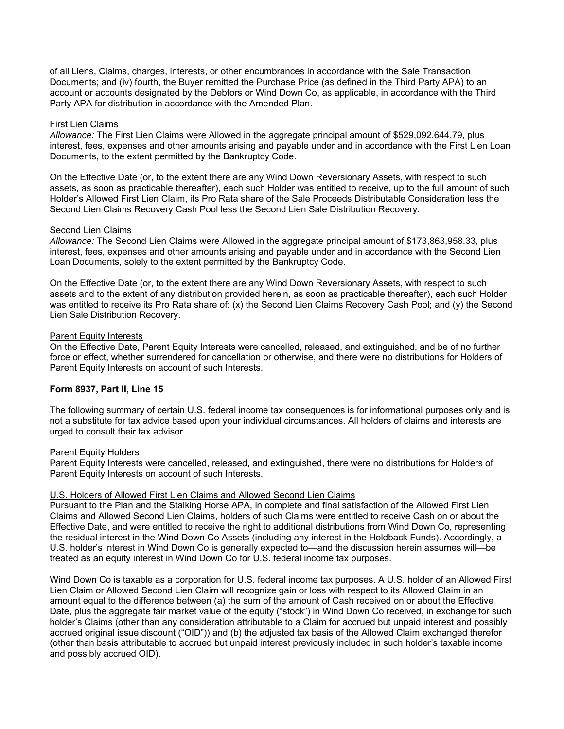of all Liens, Claims, charges, interests, or other encumbrances in accordance with the Sale Transaction Documents; and (iv) fourth, the Buyer remitted the Purchase Price (as defined in the Third Party APA) to an account or accounts designated by the Debtors or Wind Down Co, as applicable, in accordance with the Third Party APA for distribution in accordance with the Amended Plan.

### First Lien Claims

*Allowance:* The First Lien Claims were Allowed in the aggregate principal amount of \$529,092,644.79, plus interest, fees, expenses and other amounts arising and payable under and in accordance with the First Lien Loan Documents, to the extent permitted by the Bankruptcy Code.

On the Effective Date (or, to the extent there are any Wind Down Reversionary Assets, with respect to such assets, as soon as practicable thereafter), each such Holder was entitled to receive, up to the full amount of such Holder's Allowed First Lien Claim, its Pro Rata share of the Sale Proceeds Distributable Consideration less the Second Lien Claims Recovery Cash Pool less the Second Lien Sale Distribution Recovery.

## Second Lien Claims

*Allowance:* The Second Lien Claims were Allowed in the aggregate principal amount of \$173,863,958.33, plus interest, fees, expenses and other amounts arising and payable under and in accordance with the Second Lien Loan Documents, solely to the extent permitted by the Bankruptcy Code.

On the Effective Date (or, to the extent there are any Wind Down Reversionary Assets, with respect to such assets and to the extent of any distribution provided herein, as soon as practicable thereafter), each such Holder was entitled to receive its Pro Rata share of: (x) the Second Lien Claims Recovery Cash Pool; and (y) the Second Lien Sale Distribution Recovery.

## Parent Equity Interests

On the Effective Date, Parent Equity Interests were cancelled, released, and extinguished, and be of no further force or effect, whether surrendered for cancellation or otherwise, and there were no distributions for Holders of Parent Equity Interests on account of such Interests.

## **Form 8937, Part II, Line 15**

The following summary of certain U.S. federal income tax consequences is for informational purposes only and is not a substitute for tax advice based upon your individual circumstances. All holders of claims and interests are urged to consult their tax advisor.

### **Parent Equity Holders**

Parent Equity Interests were cancelled, released, and extinguished, there were no distributions for Holders of Parent Equity Interests on account of such Interests.

### U.S. Holders of Allowed First Lien Claims and Allowed Second Lien Claims

Pursuant to the Plan and the Stalking Horse APA, in complete and final satisfaction of the Allowed First Lien Claims and Allowed Second Lien Claims, holders of such Claims were entitled to receive Cash on or about the Effective Date, and were entitled to receive the right to additional distributions from Wind Down Co, representing the residual interest in the Wind Down Co Assets (including any interest in the Holdback Funds). Accordingly, a U.S. holder's interest in Wind Down Co is generally expected to—and the discussion herein assumes will—be treated as an equity interest in Wind Down Co for U.S. federal income tax purposes.

Wind Down Co is taxable as a corporation for U.S. federal income tax purposes. A U.S. holder of an Allowed First Lien Claim or Allowed Second Lien Claim will recognize gain or loss with respect to its Allowed Claim in an amount equal to the difference between (a) the sum of the amount of Cash received on or about the Effective Date, plus the aggregate fair market value of the equity ("stock") in Wind Down Co received, in exchange for such holder's Claims (other than any consideration attributable to a Claim for accrued but unpaid interest and possibly accrued original issue discount ("OID")) and (b) the adjusted tax basis of the Allowed Claim exchanged therefor (other than basis attributable to accrued but unpaid interest previously included in such holder's taxable income and possibly accrued OID).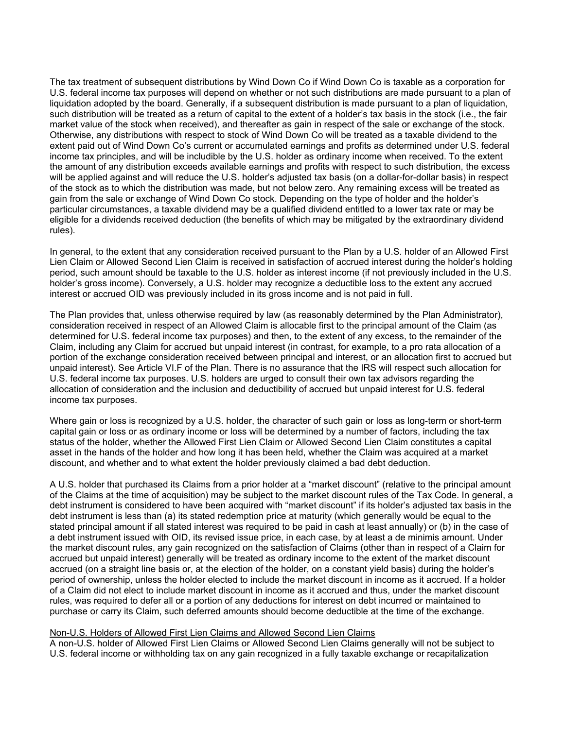The tax treatment of subsequent distributions by Wind Down Co if Wind Down Co is taxable as a corporation for U.S. federal income tax purposes will depend on whether or not such distributions are made pursuant to a plan of liquidation adopted by the board. Generally, if a subsequent distribution is made pursuant to a plan of liquidation, such distribution will be treated as a return of capital to the extent of a holder's tax basis in the stock (i.e., the fair market value of the stock when received), and thereafter as gain in respect of the sale or exchange of the stock. Otherwise, any distributions with respect to stock of Wind Down Co will be treated as a taxable dividend to the extent paid out of Wind Down Co's current or accumulated earnings and profits as determined under U.S. federal income tax principles, and will be includible by the U.S. holder as ordinary income when received. To the extent the amount of any distribution exceeds available earnings and profits with respect to such distribution, the excess will be applied against and will reduce the U.S. holder's adjusted tax basis (on a dollar-for-dollar basis) in respect of the stock as to which the distribution was made, but not below zero. Any remaining excess will be treated as gain from the sale or exchange of Wind Down Co stock. Depending on the type of holder and the holder's particular circumstances, a taxable dividend may be a qualified dividend entitled to a lower tax rate or may be eligible for a dividends received deduction (the benefits of which may be mitigated by the extraordinary dividend rules).

In general, to the extent that any consideration received pursuant to the Plan by a U.S. holder of an Allowed First Lien Claim or Allowed Second Lien Claim is received in satisfaction of accrued interest during the holder's holding period, such amount should be taxable to the U.S. holder as interest income (if not previously included in the U.S. holder's gross income). Conversely, a U.S. holder may recognize a deductible loss to the extent any accrued interest or accrued OID was previously included in its gross income and is not paid in full.

The Plan provides that, unless otherwise required by law (as reasonably determined by the Plan Administrator), consideration received in respect of an Allowed Claim is allocable first to the principal amount of the Claim (as determined for U.S. federal income tax purposes) and then, to the extent of any excess, to the remainder of the Claim, including any Claim for accrued but unpaid interest (in contrast, for example, to a pro rata allocation of a portion of the exchange consideration received between principal and interest, or an allocation first to accrued but unpaid interest). See Article VI.F of the Plan. There is no assurance that the IRS will respect such allocation for U.S. federal income tax purposes. U.S. holders are urged to consult their own tax advisors regarding the allocation of consideration and the inclusion and deductibility of accrued but unpaid interest for U.S. federal income tax purposes.

Where gain or loss is recognized by a U.S. holder, the character of such gain or loss as long-term or short-term capital gain or loss or as ordinary income or loss will be determined by a number of factors, including the tax status of the holder, whether the Allowed First Lien Claim or Allowed Second Lien Claim constitutes a capital asset in the hands of the holder and how long it has been held, whether the Claim was acquired at a market discount, and whether and to what extent the holder previously claimed a bad debt deduction.

A U.S. holder that purchased its Claims from a prior holder at a "market discount" (relative to the principal amount of the Claims at the time of acquisition) may be subject to the market discount rules of the Tax Code. In general, a debt instrument is considered to have been acquired with "market discount" if its holder's adjusted tax basis in the debt instrument is less than (a) its stated redemption price at maturity (which generally would be equal to the stated principal amount if all stated interest was required to be paid in cash at least annually) or (b) in the case of a debt instrument issued with OID, its revised issue price, in each case, by at least a de minimis amount. Under the market discount rules, any gain recognized on the satisfaction of Claims (other than in respect of a Claim for accrued but unpaid interest) generally will be treated as ordinary income to the extent of the market discount accrued (on a straight line basis or, at the election of the holder, on a constant yield basis) during the holder's period of ownership, unless the holder elected to include the market discount in income as it accrued. If a holder of a Claim did not elect to include market discount in income as it accrued and thus, under the market discount rules, was required to defer all or a portion of any deductions for interest on debt incurred or maintained to purchase or carry its Claim, such deferred amounts should become deductible at the time of the exchange.

## Non-U.S. Holders of Allowed First Lien Claims and Allowed Second Lien Claims

A non-U.S. holder of Allowed First Lien Claims or Allowed Second Lien Claims generally will not be subject to U.S. federal income or withholding tax on any gain recognized in a fully taxable exchange or recapitalization